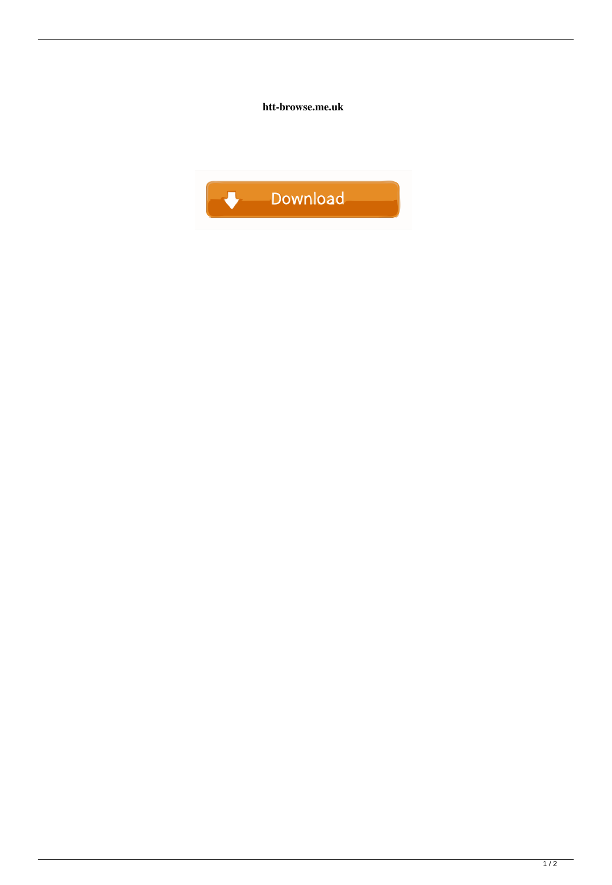htt-browse.me.uk